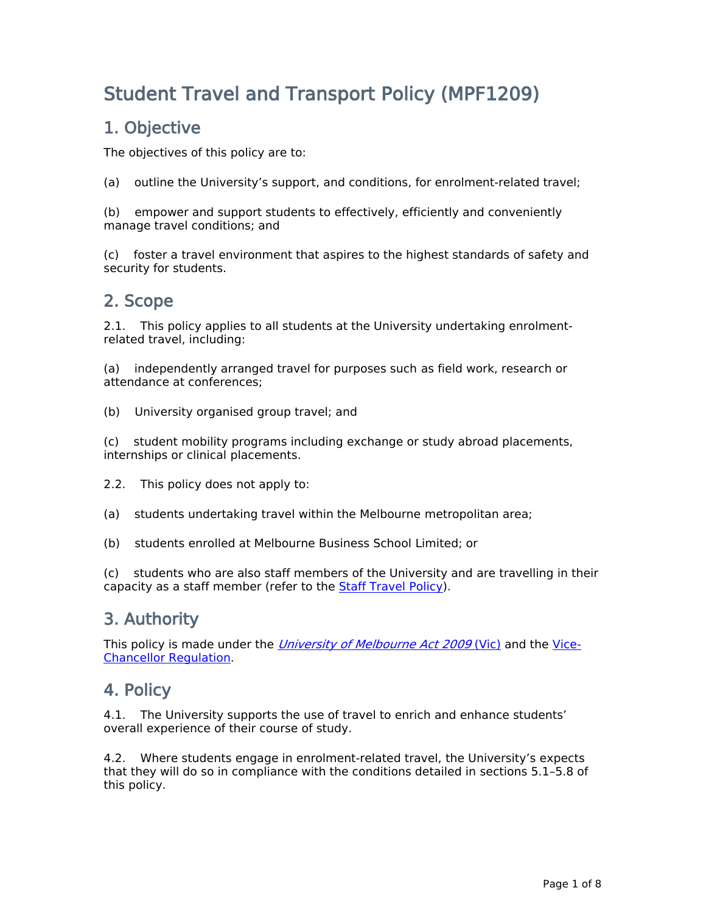# **Student Travel and Transport Policy (MPF1209)**

## **1. Objective**

The objectives of this policy are to:

(a) outline the University's support, and conditions, for enrolment-related travel;

(b) empower and support students to effectively, efficiently and conveniently manage travel conditions; and

(c) foster a travel environment that aspires to the highest standards of safety and security for students.

## **2. Scope**

2.1. This policy applies to all students at the University undertaking enrolmentrelated travel, including:

(a) independently arranged travel for purposes such as field work, research or attendance at conferences;

(b) University organised group travel; and

(c) student mobility programs including exchange or study abroad placements, internships or clinical placements.

- 2.2. This policy does not apply to:
- (a) students undertaking travel within the Melbourne metropolitan area;
- (b) students enrolled at Melbourne Business School Limited; or

(c) students who are also staff members of the University and are travelling in their capacity as a staff member (refer to the [Staff](file:/usr/local/tomcat/MPF1300) [Travel](file:/usr/local/tomcat/MPF1300) [Policy](file:/usr/local/tomcat/MPF1300)).

## **3. Authority**

This policy is made under the *[University](http://www.legislation.vic.gov.au/domino/web_notes/ldms/pubstatbook.nsf/edfb620cf7503d1aca256da4001b08af/489fcdb5278f3602ca25767f00102b11/$file/09-078a.pdf) [of](http://www.legislation.vic.gov.au/domino/web_notes/ldms/pubstatbook.nsf/edfb620cf7503d1aca256da4001b08af/489fcdb5278f3602ca25767f00102b11/$file/09-078a.pdf) [Melbourne](http://www.legislation.vic.gov.au/domino/web_notes/ldms/pubstatbook.nsf/edfb620cf7503d1aca256da4001b08af/489fcdb5278f3602ca25767f00102b11/$file/09-078a.pdf) [Act](http://www.legislation.vic.gov.au/domino/web_notes/ldms/pubstatbook.nsf/edfb620cf7503d1aca256da4001b08af/489fcdb5278f3602ca25767f00102b11/$file/09-078a.pdf) [2009](http://www.legislation.vic.gov.au/domino/web_notes/ldms/pubstatbook.nsf/edfb620cf7503d1aca256da4001b08af/489fcdb5278f3602ca25767f00102b11/$file/09-078a.pdf)* [\(Vic\)](http://www.legislation.vic.gov.au/domino/web_notes/ldms/pubstatbook.nsf/edfb620cf7503d1aca256da4001b08af/489fcdb5278f3602ca25767f00102b11/$file/09-078a.pdf) and the [Vice-](http://www.unimelb.edu.au/governance/statutes)[Chancellor](http://www.unimelb.edu.au/governance/statutes) [Regulation](http://www.unimelb.edu.au/governance/statutes).

## **4. Policy**

4.1. The University supports the use of travel to enrich and enhance students' overall experience of their course of study.

4.2. Where students engage in enrolment-related travel, the University's expects that they will do so in compliance with the conditions detailed in sections 5.1–5.8 of this policy.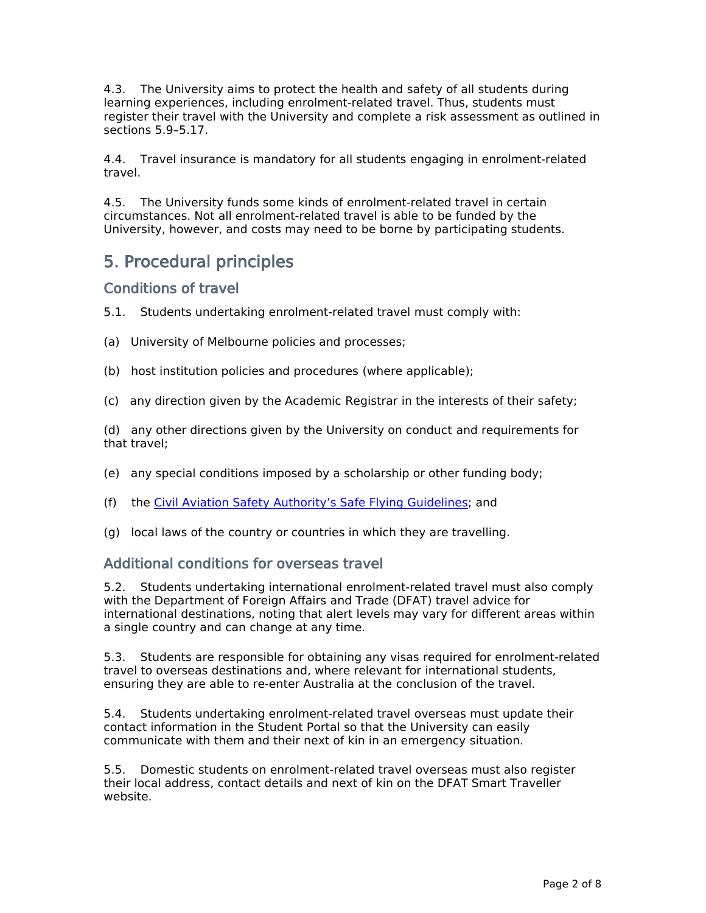4.3. The University aims to protect the health and safety of all students during learning experiences, including enrolment-related travel. Thus, students must register their travel with the University and complete a risk assessment as outlined in sections 5.9–5.17.

4.4. Travel insurance is mandatory for all students engaging in enrolment-related travel.

4.5. The University funds some kinds of enrolment-related travel in certain circumstances. Not all enrolment-related travel is able to be funded by the University, however, and costs may need to be borne by participating students.

## **5. Procedural principles**

### **Conditions of travel**

- 5.1. Students undertaking enrolment-related travel must comply with:
- (a) University of Melbourne policies and processes;
- (b) host institution policies and procedures (where applicable);
- (c) any direction given by the Academic Registrar in the interests of their safety;

(d) any other directions given by the University on conduct and requirements for that travel;

- (e) any special conditions imposed by a scholarship or other funding body;
- (f) the [Civil](https://www.casa.gov.au/safety-management/landing-page/advice-air-travellers) [Aviation](https://www.casa.gov.au/safety-management/landing-page/advice-air-travellers) [Safety](https://www.casa.gov.au/safety-management/landing-page/advice-air-travellers) [Authority's](https://www.casa.gov.au/safety-management/landing-page/advice-air-travellers) [Safe](https://www.casa.gov.au/safety-management/landing-page/advice-air-travellers) [Flying](https://www.casa.gov.au/safety-management/landing-page/advice-air-travellers) [Guidelines](https://www.casa.gov.au/safety-management/landing-page/advice-air-travellers); and
- (g) local laws of the country or countries in which they are travelling.

#### **Additional conditions for overseas travel**

5.2. Students undertaking international enrolment-related travel must also comply with the Department of Foreign Affairs and Trade (DFAT) travel advice for international destinations, noting that alert levels may vary for different areas within a single country and can change at any time.

5.3. Students are responsible for obtaining any visas required for enrolment-related travel to overseas destinations and, where relevant for international students, ensuring they are able to re-enter Australia at the conclusion of the travel.

5.4. Students undertaking enrolment-related travel overseas must update their contact information in the Student Portal so that the University can easily communicate with them and their next of kin in an emergency situation.

5.5. Domestic students on enrolment-related travel overseas must also register their local address, contact details and next of kin on the DFAT Smart Traveller website.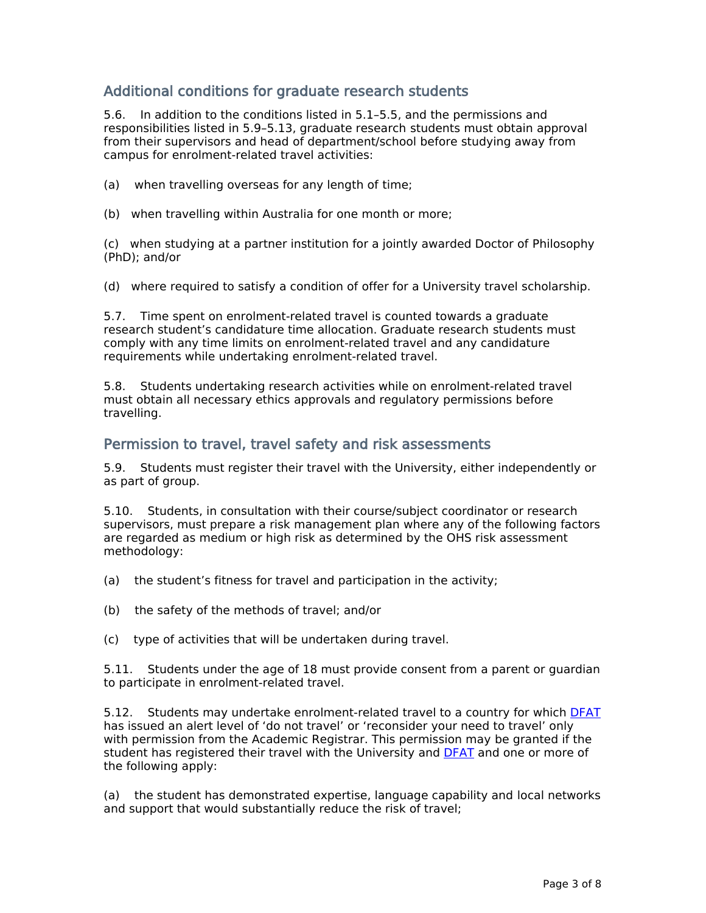## **Additional conditions for graduate research students**

5.6. In addition to the conditions listed in 5.1–5.5, and the permissions and responsibilities listed in 5.9–5.13, graduate research students must obtain approval from their supervisors and head of department/school before studying away from campus for enrolment-related travel activities:

(a) when travelling overseas for any length of time;

(b) when travelling within Australia for one month or more;

(c) when studying at a partner institution for a jointly awarded Doctor of Philosophy (PhD); and/or

(d) where required to satisfy a condition of offer for a University travel scholarship.

5.7. Time spent on enrolment-related travel is counted towards a graduate research student's candidature time allocation. Graduate research students must comply with any time limits on enrolment-related travel and any candidature requirements while undertaking enrolment-related travel.

5.8. Students undertaking research activities while on enrolment-related travel must obtain all necessary ethics approvals and regulatory permissions before travelling.

#### **Permission to travel, travel safety and risk assessments**

5.9. Students must register their travel with the University, either independently or as part of group.

5.10. Students, in consultation with their course/subject coordinator or research supervisors, must prepare a risk management plan where any of the following factors are regarded as medium or high risk as determined by the OHS risk assessment methodology:

(a) the student's fitness for travel and participation in the activity;

(b) the safety of the methods of travel; and/or

(c) type of activities that will be undertaken during travel.

5.11. Students under the age of 18 must provide consent from a parent or guardian to participate in enrolment-related travel.

5.12. Students may undertake enrolment-related travel to a country for which [DFAT](http://dfat.gov.au/pages/default.aspx) has issued an alert level of 'do not travel' or 'reconsider your need to travel' only with permission from the Academic Registrar. This permission may be granted if the student has registered their travel with the University and [DFAT](http://dfat.gov.au/pages/default.aspx) and one or more of the following apply:

(a) the student has demonstrated expertise, language capability and local networks and support that would substantially reduce the risk of travel;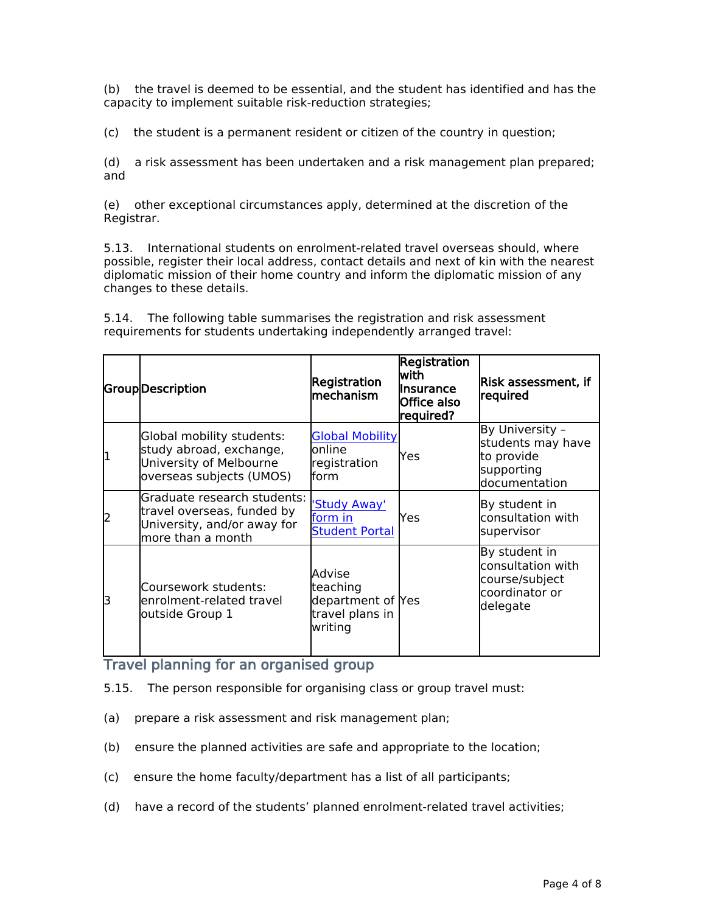(b) the travel is deemed to be essential, and the student has identified and has the capacity to implement suitable risk-reduction strategies;

(c) the student is a permanent resident or citizen of the country in question;

(d) a risk assessment has been undertaken and a risk management plan prepared; and

(e) other exceptional circumstances apply, determined at the discretion of the Registrar.

5.13. International students on enrolment-related travel overseas should, where possible, register their local address, contact details and next of kin with the nearest diplomatic mission of their home country and inform the diplomatic mission of any changes to these details.

5.14. The following table summarises the registration and risk assessment requirements for students undertaking independently arranged travel:

|   | GroupDescription                                                                                              | Registration<br>lmechanism                                            | Registration<br>lwith<br>Insurance<br>Office also<br>required? | Risk assessment, if<br>required                                                    |
|---|---------------------------------------------------------------------------------------------------------------|-----------------------------------------------------------------------|----------------------------------------------------------------|------------------------------------------------------------------------------------|
| 1 | Global mobility students:<br>study abroad, exchange,<br>University of Melbourne<br>overseas subjects (UMOS)   | <b>Global Mobility</b><br>online<br>registration<br>lform             | Yes                                                            | By University -<br>students may have<br>to provide<br>supporting<br>documentation  |
| 2 | Graduate research students:<br>travel overseas, funded by<br>University, and/or away for<br>more than a month | 'Study Away'<br>form in<br><b>Student Portal</b>                      | Yes                                                            | By student in<br>consultation with<br>supervisor                                   |
| 3 | Coursework students:<br>enrolment-related travel<br>outside Group 1                                           | Advise<br>teaching<br>department of Yes<br>travel plans in<br>writing |                                                                | By student in<br>consultation with<br>course/subject<br>coordinator or<br>delegate |

## **Travel planning for an organised group**

- 5.15. The person responsible for organising class or group travel must:
- (a) prepare a risk assessment and risk management plan;
- (b) ensure the planned activities are safe and appropriate to the location;
- (c) ensure the home faculty/department has a list of all participants;
- (d) have a record of the students' planned enrolment-related travel activities;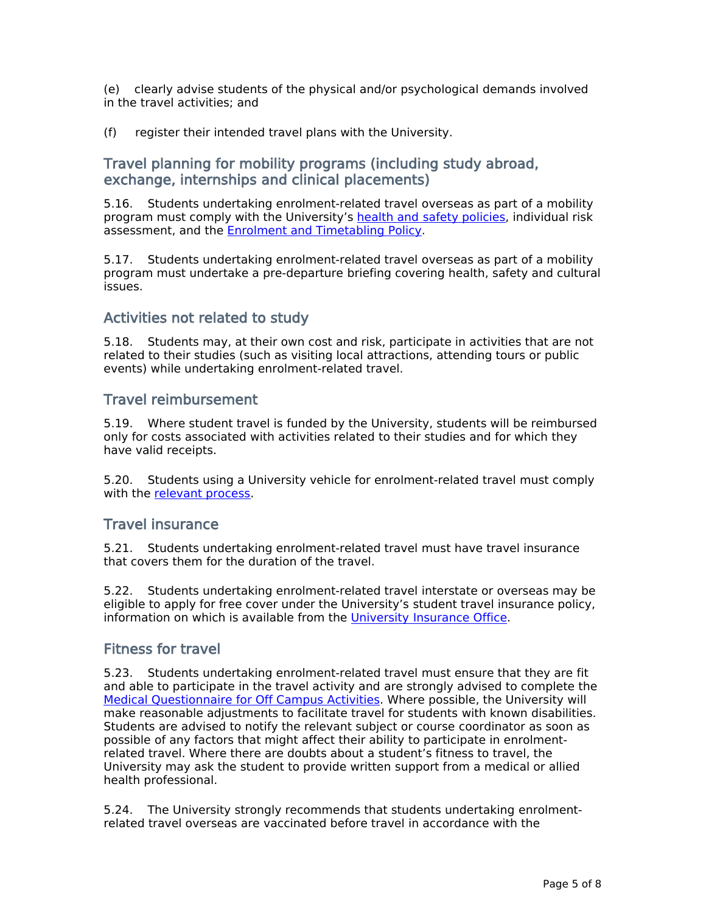(e) clearly advise students of the physical and/or psychological demands involved in the travel activities; and

(f) register their intended travel plans with the University.

#### **Travel planning for mobility programs (including study abroad, exchange, internships and clinical placements)**

5.16. Students undertaking enrolment-related travel overseas as part of a mobility program must comply with the University's [health](file:/usr/local/tomcat/category/Health%20and%20Safety) [and](file:/usr/local/tomcat/category/Health%20and%20Safety) [safety](file:/usr/local/tomcat/category/Health%20and%20Safety) [policies,](file:/usr/local/tomcat/category/Health%20and%20Safety) individual risk assessment, and the [Enrolment](file:/usr/local/tomcat/MPF1294) [and](file:/usr/local/tomcat/MPF1294) [Timetabling](file:/usr/local/tomcat/MPF1294) [Policy.](file:/usr/local/tomcat/MPF1294)

5.17. Students undertaking enrolment-related travel overseas as part of a mobility program must undertake a pre-departure briefing covering health, safety and cultural issues.

#### **Activities not related to study**

5.18. Students may, at their own cost and risk, participate in activities that are not related to their studies (such as visiting local attractions, attending tours or public events) while undertaking enrolment-related travel.

#### **Travel reimbursement**

5.19. Where student travel is funded by the University, students will be reimbursed only for costs associated with activities related to their studies and for which they have valid receipts.

5.20. Students using a University vehicle for enrolment-related travel must comply with the [relevant](https://au.promapp.com/unimelb/Process/Group/2c5458a4-2650-4db7-a04e-e29ad644e3f1) [process](https://au.promapp.com/unimelb/Process/Group/2c5458a4-2650-4db7-a04e-e29ad644e3f1).

#### **Travel insurance**

5.21. Students undertaking enrolment-related travel must have travel insurance that covers them for the duration of the travel.

5.22. Students undertaking enrolment-related travel interstate or overseas may be eligible to apply for free cover under the University's student travel insurance policy, information on which is available from the [University](https://students.unimelb.edu.au/admin/insurance) [Insurance](https://students.unimelb.edu.au/admin/insurance) [Office.](https://students.unimelb.edu.au/admin/insurance)

#### **Fitness for travel**

5.23. Students undertaking enrolment-related travel must ensure that they are fit and able to participate in the travel activity and are strongly advised to complete the [Medical](http://safety.unimelb.edu.au/__data/assets/word_doc/0006/1836078/health-and-safety-medical-questionnaire-for-off-campus-activities.docx) [Questionnaire](http://safety.unimelb.edu.au/__data/assets/word_doc/0006/1836078/health-and-safety-medical-questionnaire-for-off-campus-activities.docx) [for](http://safety.unimelb.edu.au/__data/assets/word_doc/0006/1836078/health-and-safety-medical-questionnaire-for-off-campus-activities.docx) [Off](http://safety.unimelb.edu.au/__data/assets/word_doc/0006/1836078/health-and-safety-medical-questionnaire-for-off-campus-activities.docx) [Campus](http://safety.unimelb.edu.au/__data/assets/word_doc/0006/1836078/health-and-safety-medical-questionnaire-for-off-campus-activities.docx) [Activities.](http://safety.unimelb.edu.au/__data/assets/word_doc/0006/1836078/health-and-safety-medical-questionnaire-for-off-campus-activities.docx) Where possible, the University will make reasonable adjustments to facilitate travel for students with known disabilities. Students are advised to notify the relevant subject or course coordinator as soon as possible of any factors that might affect their ability to participate in enrolmentrelated travel. Where there are doubts about a student's fitness to travel, the University may ask the student to provide written support from a medical or allied health professional.

5.24. The University strongly recommends that students undertaking enrolmentrelated travel overseas are vaccinated before travel in accordance with the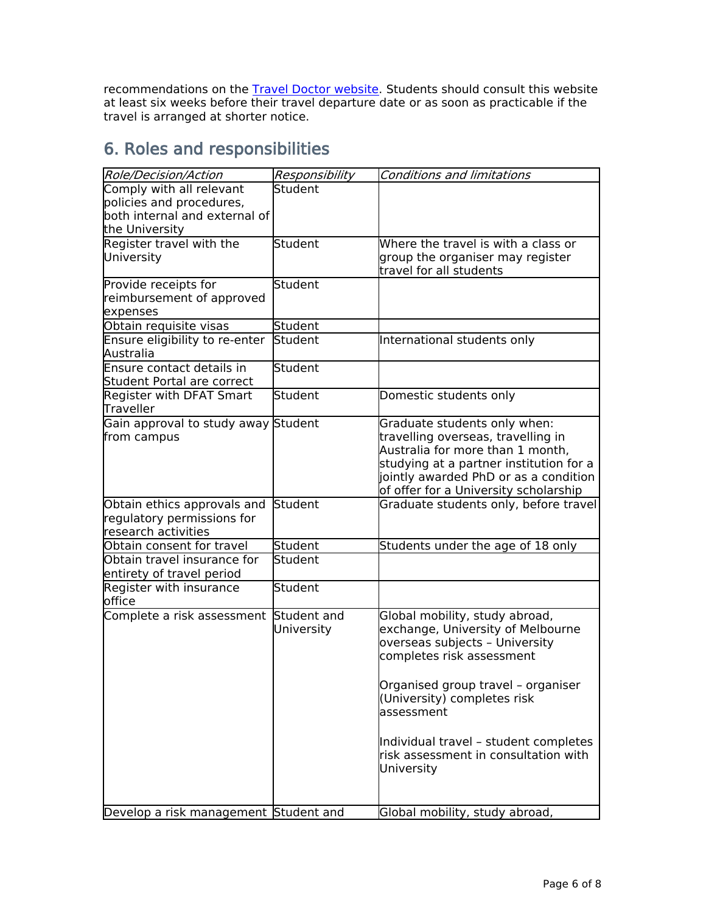recommendations on the [Travel](http://www.traveldoctor.com.au/) [Doctor](http://www.traveldoctor.com.au/) [website.](http://www.traveldoctor.com.au/) Students should consult this website at least six weeks before their travel departure date or as soon as practicable if the travel is arranged at shorter notice.

# **6. Roles and responsibilities**

| Role/Decision/Action                                                                  | Responsibility            | <b>Conditions and limitations</b>                                                                                                                                                                                                                                                                                     |
|---------------------------------------------------------------------------------------|---------------------------|-----------------------------------------------------------------------------------------------------------------------------------------------------------------------------------------------------------------------------------------------------------------------------------------------------------------------|
| Comply with all relevant<br>policies and procedures,<br>both internal and external of | <b>Student</b>            |                                                                                                                                                                                                                                                                                                                       |
| the University                                                                        |                           |                                                                                                                                                                                                                                                                                                                       |
| Register travel with the<br>University                                                | Student                   | Where the travel is with a class or<br>group the organiser may register<br>travel for all students                                                                                                                                                                                                                    |
| Provide receipts for<br>reimbursement of approved<br>expenses                         | Student                   |                                                                                                                                                                                                                                                                                                                       |
| Obtain requisite visas                                                                | Student                   |                                                                                                                                                                                                                                                                                                                       |
| Ensure eligibility to re-enter<br>Australia                                           | Student                   | International students only                                                                                                                                                                                                                                                                                           |
| Ensure contact details in<br>Student Portal are correct                               | Student                   |                                                                                                                                                                                                                                                                                                                       |
| Register with DFAT Smart<br>Traveller                                                 | Student                   | Domestic students only                                                                                                                                                                                                                                                                                                |
| Gain approval to study away Student<br>from campus                                    |                           | Graduate students only when:<br>travelling overseas, travelling in<br>Australia for more than 1 month,<br>studying at a partner institution for a<br>jointly awarded PhD or as a condition<br>of offer for a University scholarship                                                                                   |
| Obtain ethics approvals and<br>regulatory permissions for<br>research activities      | Student                   | Graduate students only, before travel                                                                                                                                                                                                                                                                                 |
| Obtain consent for travel                                                             | Student                   | Students under the age of 18 only                                                                                                                                                                                                                                                                                     |
| Obtain travel insurance for<br>entirety of travel period                              | Student                   |                                                                                                                                                                                                                                                                                                                       |
| Register with insurance<br>office                                                     | Student                   |                                                                                                                                                                                                                                                                                                                       |
| Complete a risk assessment                                                            | Student and<br>University | Global mobility, study abroad,<br>exchange, University of Melbourne<br>overseas subjects - University<br>completes risk assessment<br>Organised group travel - organiser<br>(University) completes risk<br>lassessment<br>Individual travel - student completes<br>risk assessment in consultation with<br>University |
| Develop a risk management Student and                                                 |                           | Global mobility, study abroad,                                                                                                                                                                                                                                                                                        |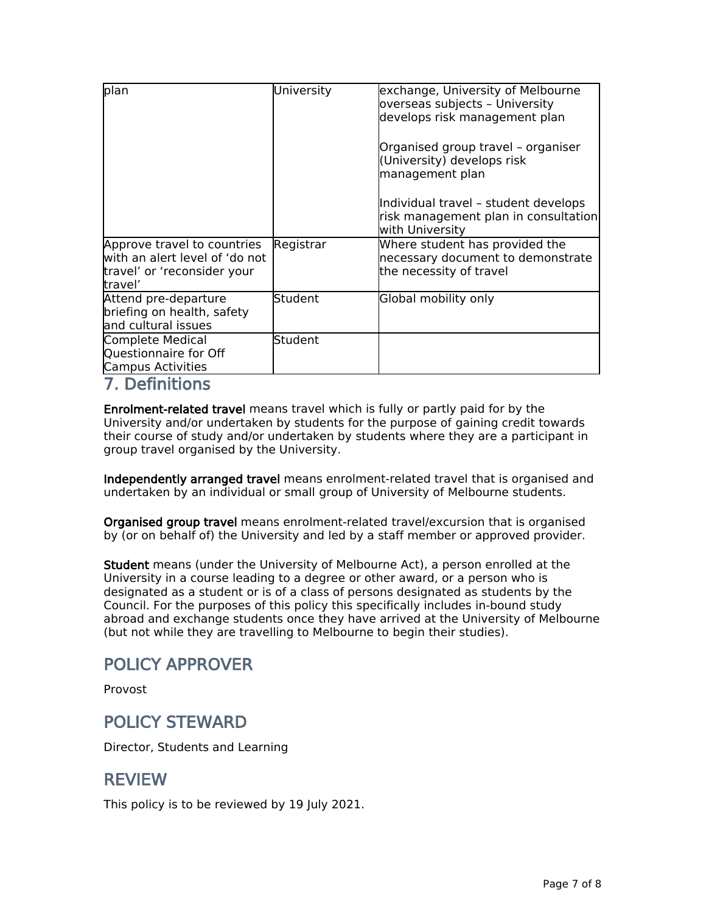| lplan                                                                                                   | University | exchange, University of Melbourne<br>overseas subjects - University<br>develops risk management plan<br>Organised group travel - organiser<br>(University) develops risk<br>management plan<br>Individual travel - student develops<br>risk management plan in consultation<br>with University |
|---------------------------------------------------------------------------------------------------------|------------|------------------------------------------------------------------------------------------------------------------------------------------------------------------------------------------------------------------------------------------------------------------------------------------------|
| Approve travel to countries<br>with an alert level of 'do not<br>travel' or 'reconsider your<br>travel' | Registrar  | Where student has provided the<br>necessary document to demonstrate<br>the necessity of travel                                                                                                                                                                                                 |
| Attend pre-departure<br>briefing on health, safety<br>and cultural issues                               | Student    | Global mobility only                                                                                                                                                                                                                                                                           |
| Complete Medical<br>Questionnaire for Off<br>Campus Activities                                          | Student    |                                                                                                                                                                                                                                                                                                |

## **7. Definitions**

**Enrolment-related travel** means travel which is fully or partly paid for by the University and/or undertaken by students for the purpose of gaining credit towards their course of study and/or undertaken by students where they are a participant in group travel organised by the University.

**Independently arranged travel** means enrolment-related travel that is organised and undertaken by an individual or small group of University of Melbourne students.

**Organised group travel** means enrolment-related travel/excursion that is organised by (or on behalf of) the University and led by a staff member or approved provider.

**Student** means (under the University of Melbourne Act), a person enrolled at the University in a course leading to a degree or other award, or a person who is designated as a student or is of a class of persons designated as students by the Council. For the purposes of this policy this specifically includes in-bound study abroad and exchange students once they have arrived at the University of Melbourne (but not while they are travelling to Melbourne to begin their studies).

## **POLICY APPROVER**

Provost

## **POLICY STEWARD**

Director, Students and Learning

## **REVIEW**

This policy is to be reviewed by 19 July 2021.